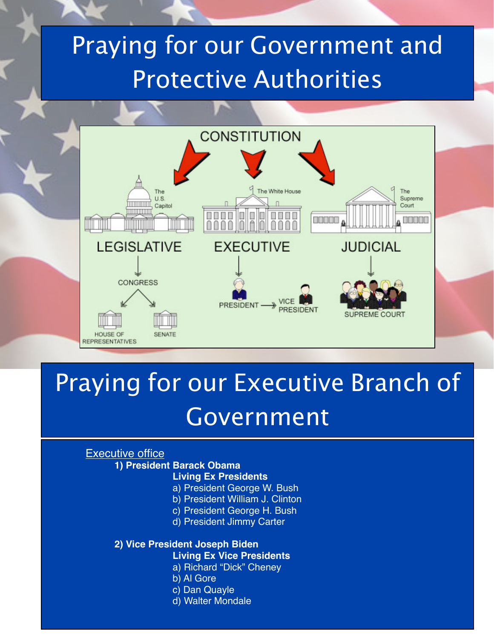## Praying for our Government and Protective Authorities



### Praying for our Executive Branch of Government

### Executive office

#### **1) President Barack Obama**

#### **Living Ex Presidents**

- a) President George W. Bush
- b) President William J. Clinton
- c) President George H. Bush
- d) President Jimmy Carter

#### **2) Vice President Joseph Biden**

- **Living Ex Vice Presidents**
	- a) Richard "Dick" Cheney
- b) Al Gore
- c) Dan Quayle
- d) Walter Mondale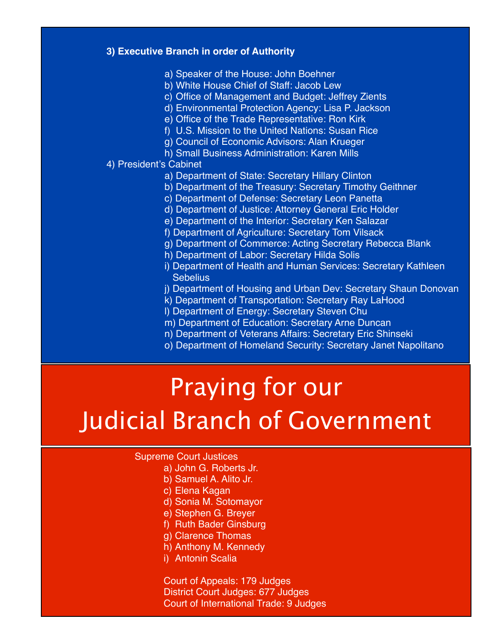#### **3) Executive Branch in order of Authority**

- a) Speaker of the House: John Boehner
- b) White House Chief of Staff: Jacob Lew
- c) Office of Management and Budget: Jeffrey Zients
- d) Environmental Protection Agency: Lisa P. Jackson
- e) Office of the Trade Representative: Ron Kirk
- f) U.S. Mission to the United Nations: Susan Rice
- g) Council of Economic Advisors: Alan Krueger
- h) Small Business Administration: Karen Mills

#### 4) President's Cabinet

- a) Department of State: Secretary Hillary Clinton
- b) Department of the Treasury: Secretary Timothy Geithner
- c) Department of Defense: Secretary Leon Panetta
- d) Department of Justice: Attorney General Eric Holder
- e) Department of the Interior: Secretary Ken Salazar
- f) Department of Agriculture: Secretary Tom Vilsack
- g) Department of Commerce: Acting Secretary Rebecca Blank
- h) Department of Labor: Secretary Hilda Solis
- i) Department of Health and Human Services: Secretary Kathleen **Sebelius**
- j) Department of Housing and Urban Dev: Secretary Shaun Donovan
- k) Department of Transportation: Secretary Ray LaHood
- l) Department of Energy: Secretary Steven Chu
- m) Department of Education: Secretary Arne Duncan
- n) Department of Veterans Affairs: Secretary Eric Shinseki
- o) Department of Homeland Security: Secretary Janet Napolitano

### Praying for our Judicial Branch of Government

#### Supreme Court Justices

- a) John G. Roberts Jr.
- b) Samuel A. Alito Jr.
- c) Elena Kagan
- d) Sonia M. Sotomayor
- e) Stephen G. Breyer
- f) Ruth Bader Ginsburg
- g) Clarence Thomas
- h) Anthony M. Kennedy
- i) Antonin Scalia

 Court of Appeals: 179 Judges District Court Judges: 677 Judges Court of International Trade: 9 Judges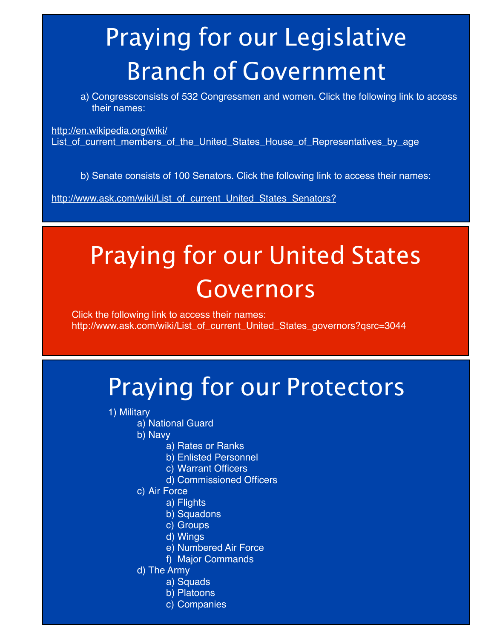# Praying for our Legislative Branch of Government

a) Congressconsists of 532 Congressmen and women. Click the following link to access their names:

[http://en.wikipedia.org/wiki/](http://en.wikipedia.org/wiki/List_of_current_members_of_the_United_States_House_of_Representatives_by_age) List of current members of the United States House of Representatives by age

b) Senate consists of 100 Senators. Click the following link to access their names:

[http://www.ask.com/wiki/List\\_of\\_current\\_United\\_States\\_Senators?](http://www.ask.com/wiki/List_of_current_United_States_Senators?)

## Praying for our United States Governors

Click the following link to access their names: [http://www.ask.com/wiki/List\\_of\\_current\\_United\\_States\\_governors?qsrc=3044](http://www.ask.com/wiki/List_of_current_United_States_governors?qsrc=3044)

### Praying for our Protectors

- 1) Military
	- a) National Guard
		- b) Navy
			- a) Rates or Ranks
			- b) Enlisted Personnel
			- c) Warrant Officers
			- d) Commissioned Officers
		- c) Air Force
			- a) Flights
			- b) Squadons
			- c) Groups
			- d) Wings
			- e) Numbered Air Force
			- f) Major Commands
		- d) The Army
			- a) Squads
			- b) Platoons
			- c) Companies